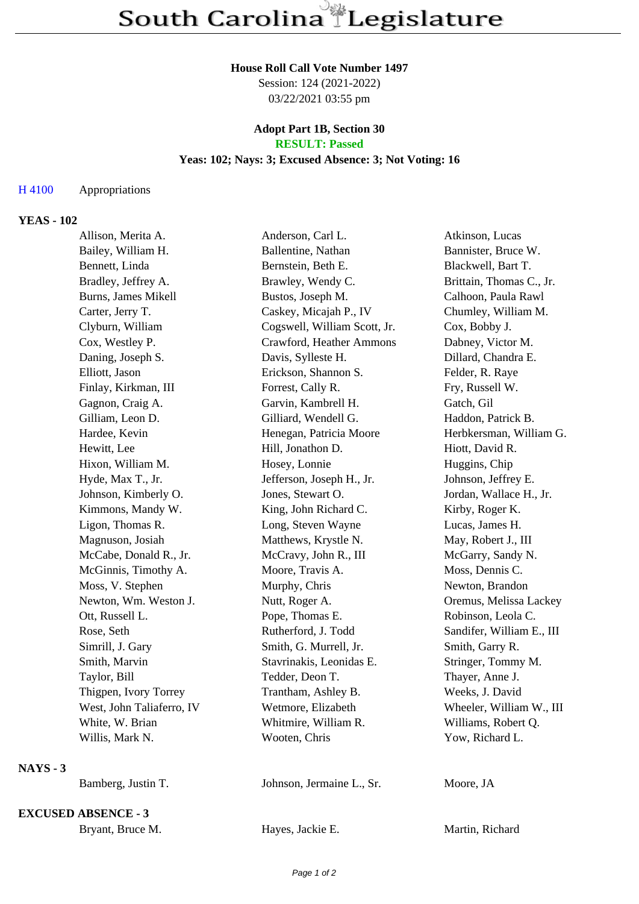#### **House Roll Call Vote Number 1497**

Session: 124 (2021-2022) 03/22/2021 03:55 pm

#### **Adopt Part 1B, Section 30 RESULT: Passed**

# **Yeas: 102; Nays: 3; Excused Absence: 3; Not Voting: 16**

## H 4100 Appropriations

## **YEAS - 102**

|            | Allison, Merita A.         | Anderson, Carl L.            | Atkinson, Lucas           |
|------------|----------------------------|------------------------------|---------------------------|
|            | Bailey, William H.         | Ballentine, Nathan           | Bannister, Bruce W.       |
|            | Bennett, Linda             | Bernstein, Beth E.           | Blackwell, Bart T.        |
|            | Bradley, Jeffrey A.        | Brawley, Wendy C.            | Brittain, Thomas C., Jr.  |
|            | Burns, James Mikell        | Bustos, Joseph M.            | Calhoon, Paula Rawl       |
|            | Carter, Jerry T.           | Caskey, Micajah P., IV       | Chumley, William M.       |
|            | Clyburn, William           | Cogswell, William Scott, Jr. | Cox, Bobby J.             |
|            | Cox, Westley P.            | Crawford, Heather Ammons     | Dabney, Victor M.         |
|            | Daning, Joseph S.          | Davis, Sylleste H.           | Dillard, Chandra E.       |
|            | Elliott, Jason             | Erickson, Shannon S.         | Felder, R. Raye           |
|            | Finlay, Kirkman, III       | Forrest, Cally R.            | Fry, Russell W.           |
|            | Gagnon, Craig A.           | Garvin, Kambrell H.          | Gatch, Gil                |
|            | Gilliam, Leon D.           | Gilliard, Wendell G.         | Haddon, Patrick B.        |
|            | Hardee, Kevin              | Henegan, Patricia Moore      | Herbkersman, William G.   |
|            | Hewitt, Lee                | Hill, Jonathon D.            | Hiott, David R.           |
|            | Hixon, William M.          | Hosey, Lonnie                | Huggins, Chip             |
|            | Hyde, Max T., Jr.          | Jefferson, Joseph H., Jr.    | Johnson, Jeffrey E.       |
|            | Johnson, Kimberly O.       | Jones, Stewart O.            | Jordan, Wallace H., Jr.   |
|            | Kimmons, Mandy W.          | King, John Richard C.        | Kirby, Roger K.           |
|            | Ligon, Thomas R.           | Long, Steven Wayne           | Lucas, James H.           |
|            | Magnuson, Josiah           | Matthews, Krystle N.         | May, Robert J., III       |
|            | McCabe, Donald R., Jr.     | McCravy, John R., III        | McGarry, Sandy N.         |
|            | McGinnis, Timothy A.       | Moore, Travis A.             | Moss, Dennis C.           |
|            | Moss, V. Stephen           | Murphy, Chris                | Newton, Brandon           |
|            | Newton, Wm. Weston J.      | Nutt, Roger A.               | Oremus, Melissa Lackey    |
|            | Ott, Russell L.            | Pope, Thomas E.              | Robinson, Leola C.        |
|            | Rose, Seth                 | Rutherford, J. Todd          | Sandifer, William E., III |
|            | Simrill, J. Gary           | Smith, G. Murrell, Jr.       | Smith, Garry R.           |
|            | Smith, Marvin              | Stavrinakis, Leonidas E.     | Stringer, Tommy M.        |
|            | Taylor, Bill               | Tedder, Deon T.              | Thayer, Anne J.           |
|            | Thigpen, Ivory Torrey      | Trantham, Ashley B.          | Weeks, J. David           |
|            | West, John Taliaferro, IV  | Wetmore, Elizabeth           | Wheeler, William W., III  |
|            | White, W. Brian            | Whitmire, William R.         | Williams, Robert Q.       |
|            | Willis, Mark N.            | Wooten, Chris                | Yow, Richard L.           |
| $NAYS - 3$ |                            |                              |                           |
|            | Bamberg, Justin T.         | Johnson, Jermaine L., Sr.    | Moore, JA                 |
|            | <b>EXCUSED ABSENCE - 3</b> |                              |                           |

Bryant, Bruce M. **Hayes, Jackie E.** Martin, Richard